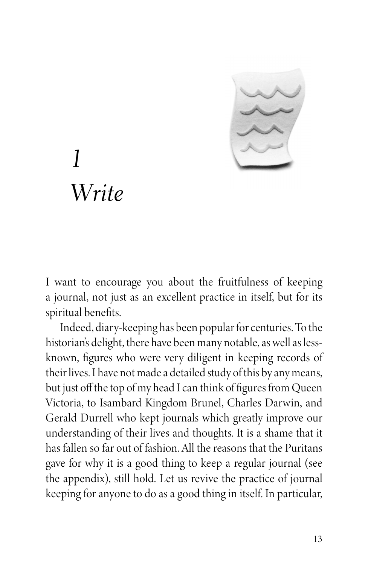

## *1 Write*

I want to encourage you about the fruitfulness of keeping a journal, not just as an excellent practice in itself, but for its spiritual benefits.

Indeed, diary-keeping has been popular for centuries. To the historian's delight, there have been many notable, as well as lessknown, figures who were very diligent in keeping records of their lives. I have not made a detailed study of this by any means, but just off the top of my head I can think of figures from Queen Victoria, to Isambard Kingdom Brunel, Charles Darwin, and Gerald Durrell who kept journals which greatly improve our understanding of their lives and thoughts. It is a shame that it has fallen so far out of fashion. All the reasons that the Puritans gave for why it is a good thing to keep a regular journal (see the appendix), still hold. Let us revive the practice of journal keeping for anyone to do as a good thing in itself. In particular,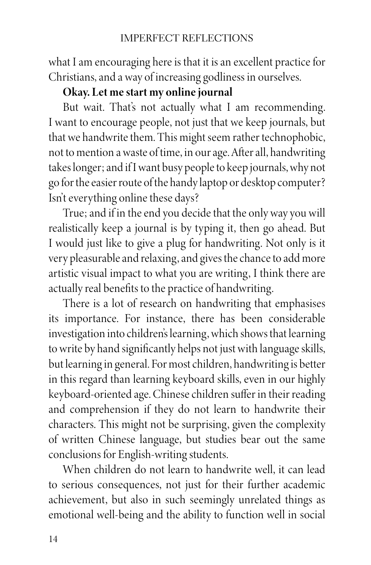what I am encouraging here is that it is an excellent practice for Christians, and a way of increasing godliness in ourselves.

## **Okay. Let me start my online journal**

But wait. That's not actually what I am recommending. I want to encourage people, not just that we keep journals, but that we handwrite them. This might seem rather technophobic, not to mention a waste of time, in our age. After all, handwriting takes longer; and if I want busy people to keep journals, why not go for the easier route of the handy laptop or desktop computer? Isn't everything online these days?

True; and if in the end you decide that the only way you will realistically keep a journal is by typing it, then go ahead. But I would just like to give a plug for handwriting. Not only is it very pleasurable and relaxing, and gives the chance to add more artistic visual impact to what you are writing, I think there are actually real benefits to the practice of handwriting.

There is a lot of research on handwriting that emphasises its importance. For instance, there has been considerable investigation into children's learning, which shows that learning to write by hand significantly helps not just with language skills, but learning in general. For most children, handwriting is better in this regard than learning keyboard skills, even in our highly keyboard-oriented age. Chinese children suffer in their reading and comprehension if they do not learn to handwrite their characters. This might not be surprising, given the complexity of written Chinese language, but studies bear out the same conclusions for English-writing students.

When children do not learn to handwrite well, it can lead to serious consequences, not just for their further academic achievement, but also in such seemingly unrelated things as emotional well-being and the ability to function well in social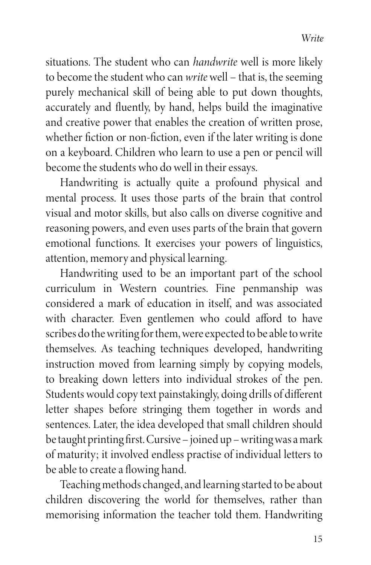situations. The student who can *handwrite* well is more likely to become the student who can *write* well – that is, the seeming purely mechanical skill of being able to put down thoughts, accurately and fluently, by hand, helps build the imaginative and creative power that enables the creation of written prose, whether fiction or non-fiction, even if the later writing is done on a keyboard. Children who learn to use a pen or pencil will become the students who do well in their essays.

Handwriting is actually quite a profound physical and mental process. It uses those parts of the brain that control visual and motor skills, but also calls on diverse cognitive and reasoning powers, and even uses parts of the brain that govern emotional functions. It exercises your powers of linguistics, attention, memory and physical learning.

Handwriting used to be an important part of the school curriculum in Western countries. Fine penmanship was considered a mark of education in itself, and was associated with character. Even gentlemen who could afford to have scribes do the writing for them, were expected to be able to write themselves. As teaching techniques developed, handwriting instruction moved from learning simply by copying models, to breaking down letters into individual strokes of the pen. Students would copy text painstakingly, doing drills of different letter shapes before stringing them together in words and sentences. Later, the idea developed that small children should be taught printing first. Cursive – joined up – writing was a mark of maturity; it involved endless practise of individual letters to be able to create a flowing hand.

Teaching methods changed, and learning started to be about children discovering the world for themselves, rather than memorising information the teacher told them. Handwriting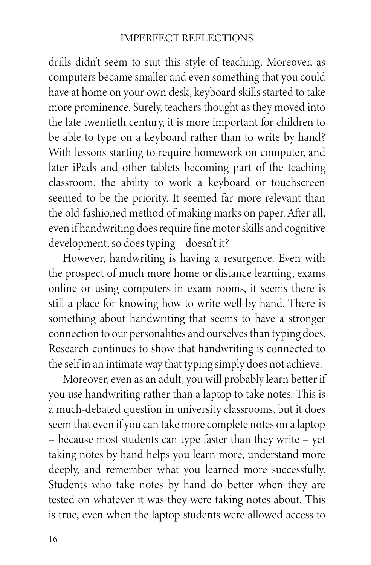## IMPERFECT REFLECTIONS

drills didn't seem to suit this style of teaching. Moreover, as computers became smaller and even something that you could have at home on your own desk, keyboard skills started to take more prominence. Surely, teachers thought as they moved into the late twentieth century, it is more important for children to be able to type on a keyboard rather than to write by hand? With lessons starting to require homework on computer, and later iPads and other tablets becoming part of the teaching classroom, the ability to work a keyboard or touchscreen seemed to be the priority. It seemed far more relevant than the old-fashioned method of making marks on paper. After all, even if handwriting does require fine motor skills and cognitive development, so does typing – doesn't it?

However, handwriting is having a resurgence. Even with the prospect of much more home or distance learning, exams online or using computers in exam rooms, it seems there is still a place for knowing how to write well by hand. There is something about handwriting that seems to have a stronger connection to our personalities and ourselves than typing does. Research continues to show that handwriting is connected to the self in an intimate way that typing simply does not achieve.

Moreover, even as an adult, you will probably learn better if you use handwriting rather than a laptop to take notes. This is a much-debated question in university classrooms, but it does seem that even if you can take more complete notes on a laptop – because most students can type faster than they write – yet taking notes by hand helps you learn more, understand more deeply, and remember what you learned more successfully. Students who take notes by hand do better when they are tested on whatever it was they were taking notes about. This is true, even when the laptop students were allowed access to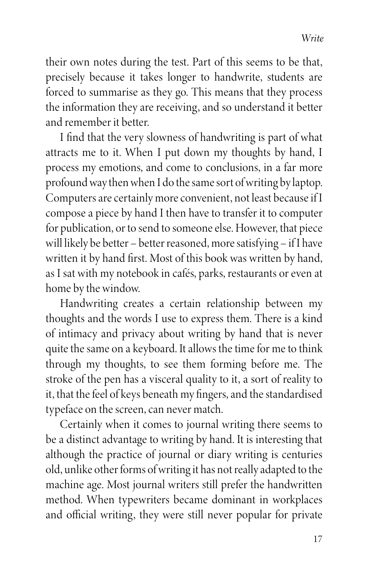their own notes during the test. Part of this seems to be that, precisely because it takes longer to handwrite, students are forced to summarise as they go. This means that they process the information they are receiving, and so understand it better and remember it better.

I find that the very slowness of handwriting is part of what attracts me to it. When I put down my thoughts by hand, I process my emotions, and come to conclusions, in a far more profound way then when I do the same sort of writing by laptop. Computers are certainly more convenient, not least because if I compose a piece by hand I then have to transfer it to computer for publication, or to send to someone else. However, that piece will likely be better – better reasoned, more satisfying – if I have written it by hand first. Most of this book was written by hand, as I sat with my notebook in cafés, parks, restaurants or even at home by the window.

Handwriting creates a certain relationship between my thoughts and the words I use to express them. There is a kind of intimacy and privacy about writing by hand that is never quite the same on a keyboard. It allows the time for me to think through my thoughts, to see them forming before me. The stroke of the pen has a visceral quality to it, a sort of reality to it, that the feel of keys beneath my fingers, and the standardised typeface on the screen, can never match.

Certainly when it comes to journal writing there seems to be a distinct advantage to writing by hand. It is interesting that although the practice of journal or diary writing is centuries old, unlike other forms of writing it has not really adapted to the machine age. Most journal writers still prefer the handwritten method. When typewriters became dominant in workplaces and official writing, they were still never popular for private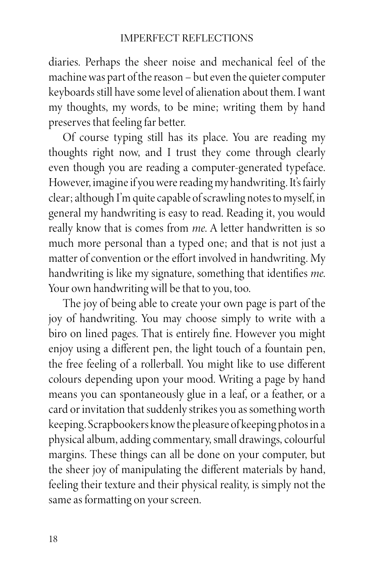diaries. Perhaps the sheer noise and mechanical feel of the machine was part of the reason – but even the quieter computer keyboards still have some level of alienation about them. I want my thoughts, my words, to be mine; writing them by hand preserves that feeling far better.

Of course typing still has its place. You are reading my thoughts right now, and I trust they come through clearly even though you are reading a computer-generated typeface. However, imagine if you were reading my handwriting. It's fairly clear; although I'm quite capable of scrawling notes to myself, in general my handwriting is easy to read. Reading it, you would really know that is comes from *me*. A letter handwritten is so much more personal than a typed one; and that is not just a matter of convention or the effort involved in handwriting. My handwriting is like my signature, something that identifies *me*. Your own handwriting will be that to you, too.

The joy of being able to create your own page is part of the joy of handwriting. You may choose simply to write with a biro on lined pages. That is entirely fine. However you might enjoy using a different pen, the light touch of a fountain pen, the free feeling of a rollerball. You might like to use different colours depending upon your mood. Writing a page by hand means you can spontaneously glue in a leaf, or a feather, or a card or invitation that suddenly strikes you as something worth keeping. Scrapbookers know the pleasure of keeping photos in a physical album, adding commentary, small drawings, colourful margins. These things can all be done on your computer, but the sheer joy of manipulating the different materials by hand, feeling their texture and their physical reality, is simply not the same as formatting on your screen.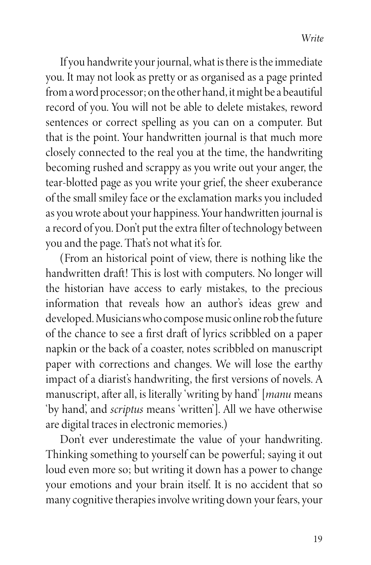If you handwrite your journal, what is there is the immediate you. It may not look as pretty or as organised as a page printed from a word processor; on the other hand, it might be a beautiful record of you. You will not be able to delete mistakes, reword sentences or correct spelling as you can on a computer. But that is the point. Your handwritten journal is that much more closely connected to the real you at the time, the handwriting becoming rushed and scrappy as you write out your anger, the tear-blotted page as you write your grief, the sheer exuberance of the small smiley face or the exclamation marks you included as you wrote about your happiness. Your handwritten journal is a record of you. Don't put the extra filter of technology between you and the page. That's not what it's for.

(From an historical point of view, there is nothing like the handwritten draft! This is lost with computers. No longer will the historian have access to early mistakes, to the precious information that reveals how an author's ideas grew and developed. Musicians who compose music online rob the future of the chance to see a first draft of lyrics scribbled on a paper napkin or the back of a coaster, notes scribbled on manuscript paper with corrections and changes. We will lose the earthy impact of a diarist's handwriting, the first versions of novels. A manuscript, after all, is literally 'writing by hand' [*manu* means 'by hand', and *scriptus* means 'written']. All we have otherwise are digital traces in electronic memories.)

Don't ever underestimate the value of your handwriting. Thinking something to yourself can be powerful; saying it out loud even more so; but writing it down has a power to change your emotions and your brain itself. It is no accident that so many cognitive therapies involve writing down your fears, your